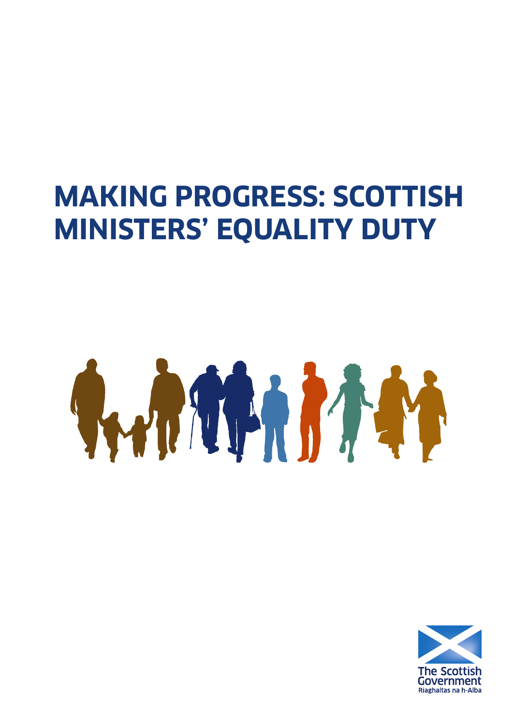## **MAKING PROGRESS: SCOTTISH MINISTERS' EQUALITY DUTY**

# SWO THE PASS

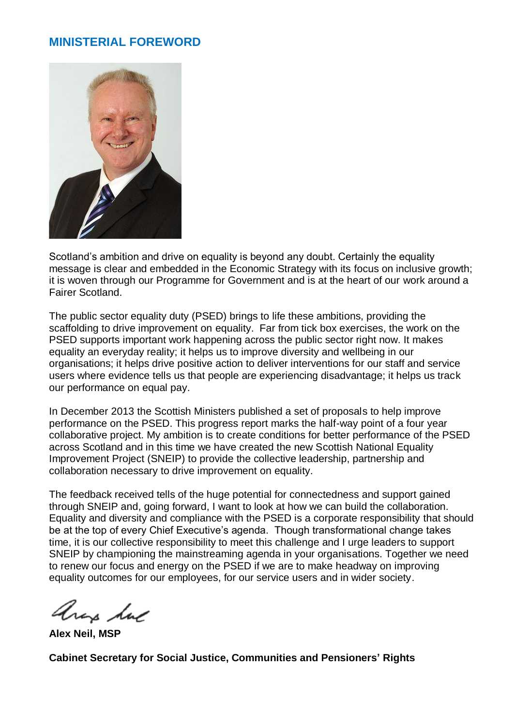#### **MINISTERIAL FOREWORD**



Scotland's ambition and drive on equality is beyond any doubt. Certainly the equality message is clear and embedded in the Economic Strategy with its focus on inclusive growth; it is woven through our Programme for Government and is at the heart of our work around a Fairer Scotland.

The public sector equality duty (PSED) brings to life these ambitions, providing the scaffolding to drive improvement on equality. Far from tick box exercises, the work on the PSED supports important work happening across the public sector right now. It makes equality an everyday reality; it helps us to improve diversity and wellbeing in our organisations; it helps drive positive action to deliver interventions for our staff and service users where evidence tells us that people are experiencing disadvantage; it helps us track our performance on equal pay.

In December 2013 the Scottish Ministers published a set of proposals to help improve performance on the PSED. This progress report marks the half-way point of a four year collaborative project. My ambition is to create conditions for better performance of the PSED across Scotland and in this time we have created the new Scottish National Equality Improvement Project (SNEIP) to provide the collective leadership, partnership and collaboration necessary to drive improvement on equality.

The feedback received tells of the huge potential for connectedness and support gained through SNEIP and, going forward, I want to look at how we can build the collaboration. Equality and diversity and compliance with the PSED is a corporate responsibility that should be at the top of every Chief Executive's agenda. Though transformational change takes time, it is our collective responsibility to meet this challenge and I urge leaders to support SNEIP by championing the mainstreaming agenda in your organisations. Together we need to renew our focus and energy on the PSED if we are to make headway on improving equality outcomes for our employees, for our service users and in wider society.

any hue

**Alex Neil, MSP**

**Cabinet Secretary for Social Justice, Communities and Pensioners' Rights**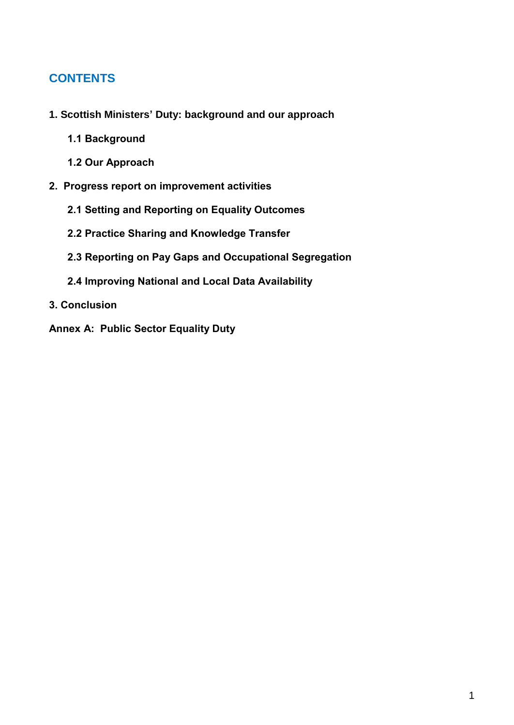#### **CONTENTS**

- **1. Scottish Ministers' [Duty: background and our approach](#page-3-0)**
	- **1.1 Background**
	- **[1.2 Our Approach](#page-4-0)**
- **[2. Progress report on improvement activities](#page-6-1)**
	- **[2.1 Setting and Reporting on Equality Outcomes](#page-6-0)**
	- **2.2 [Practice Sharing and Knowledge Transfer](#page-8-0)**
	- **[2.3 Reporting on Pay Gaps and Occupational Segregation](#page-12-0)**
	- **2.4 [Improving National and Local Data Availability](#page-15-0)**
- **[3. Conclusion](#page-18-0)**
- **[Annex A: Public Sector Equality Duty](#page-20-0)**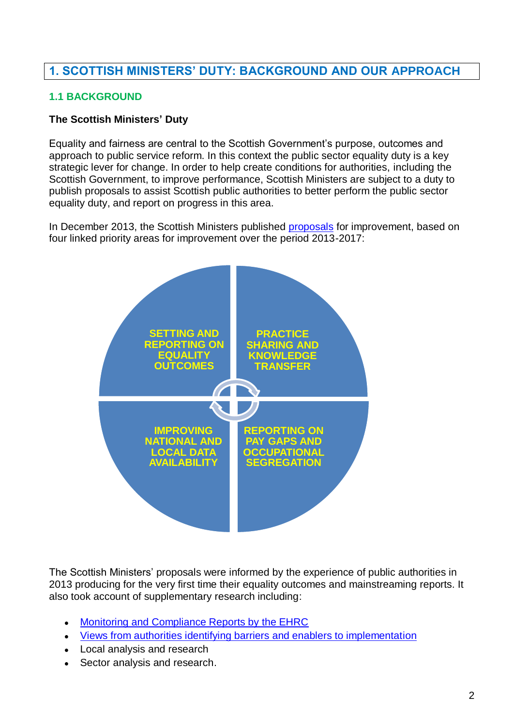#### <span id="page-3-0"></span>**1. SCOTTISH MINISTERS' DUTY: BACKGROUND AND OUR APPROACH**

#### **1.1 BACKGROUND**

#### **The Scottish Ministers' Duty**

Equality and fairness are central to the Scottish Government's purpose, outcomes and approach to public service reform. In this context the public sector equality duty is a key strategic lever for change. In order to help create conditions for authorities, including the Scottish Government, to improve performance, Scottish Ministers are subject to a duty to publish proposals to assist Scottish public authorities to better perform the public sector equality duty, and report on progress in this area.

In December 2013, the Scottish Ministers published [proposals](http://www.gov.scot/Publications/2013/12/9408/downloads) for improvement, based on four linked priority areas for improvement over the period 2013-2017:



The Scottish Ministers' proposals were informed by the experience of public authorities in 2013 producing for the very first time their equality outcomes and mainstreaming reports. It also took account of supplementary research including:

- [Monitoring and Compliance Reports by the EHRC](http://www.equalityhumanrights.com/scotland/public-sector-equality-duty/monitoring-and-enforcement/)  $\bullet$
- [Views from authorities identifying barriers and enablers to implementation](http://www.gov.scot/Publications/2013/12/2072)
- Local analysis and research
- Sector analysis and research.  $\bullet$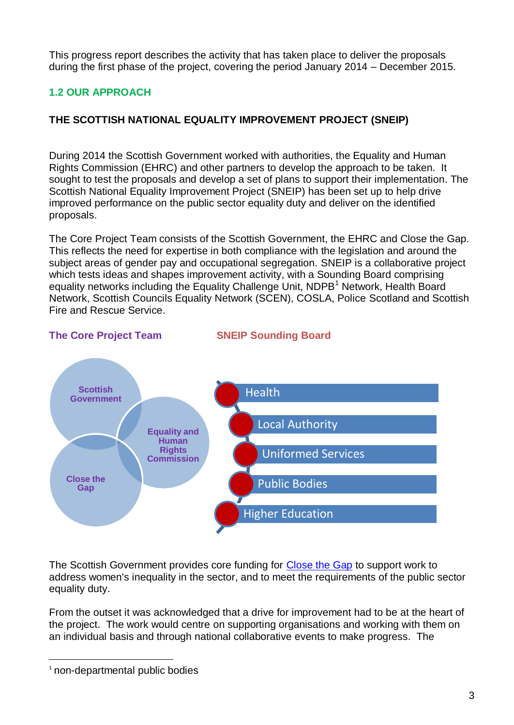<span id="page-4-0"></span>This progress report describes the activity that has taken place to deliver the proposals during the first phase of the project, covering the period January 2014 – December 2015.

#### **1.2 OUR APPROACH**

#### **THE SCOTTISH NATIONAL EQUALITY IMPROVEMENT PROJECT (SNEIP)**

During 2014 the Scottish Government worked with authorities, the Equality and Human Rights Commission (EHRC) and other partners to develop the approach to be taken. It sought to test the proposals and develop a set of plans to support their implementation. The Scottish National Equality Improvement Project (SNEIP) has been set up to help drive improved performance on the public sector equality duty and deliver on the identified proposals.

The Core Project Team consists of the Scottish Government, the EHRC and Close the Gap. This reflects the need for expertise in both compliance with the legislation and around the subject areas of gender pay and occupational segregation. SNEIP is a collaborative project which tests ideas and shapes improvement activity, with a Sounding Board comprising equality networks including the Equality Challenge Unit, NDPB<sup>1</sup> Network, Health Board Network, Scottish Councils Equality Network (SCEN), COSLA, Police Scotland and Scottish Fire and Rescue Service.



#### **The Core Project Team SNEIP Sounding Board**

The Scottish Government provides core funding for [Close the Gap](http://www.closethegap.org.uk/) to support work to address women's inequality in the sector, and to meet the requirements of the public sector equality duty.

From the outset it was acknowledged that a drive for improvement had to be at the heart of the project. The work would centre on supporting organisations and working with them on an individual basis and through national collaborative events to make progress. The

 $\overline{a}$ 

<sup>&</sup>lt;sup>1</sup> non-departmental public bodies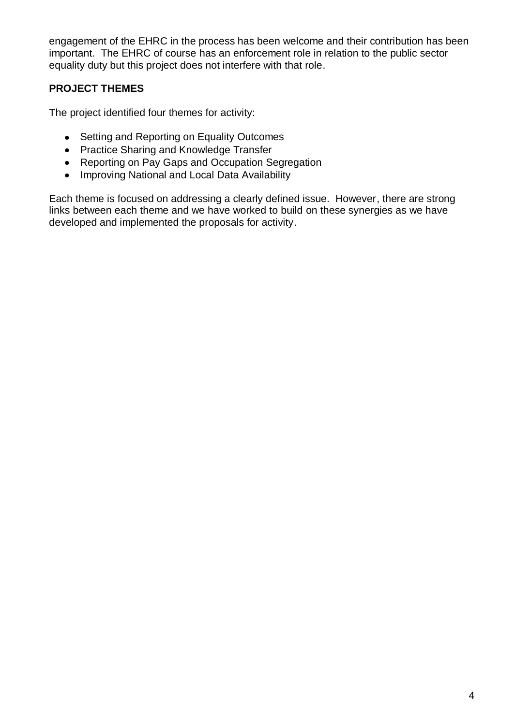engagement of the EHRC in the process has been welcome and their contribution has been important. The EHRC of course has an enforcement role in relation to the public sector equality duty but this project does not interfere with that role.

#### **PROJECT THEMES**

The project identified four themes for activity:

- Setting and Reporting on Equality Outcomes
- Practice Sharing and Knowledge Transfer
- Reporting on Pay Gaps and Occupation Segregation
- Improving National and Local Data Availability

Each theme is focused on addressing a clearly defined issue. However, there are strong links between each theme and we have worked to build on these synergies as we have developed and implemented the proposals for activity.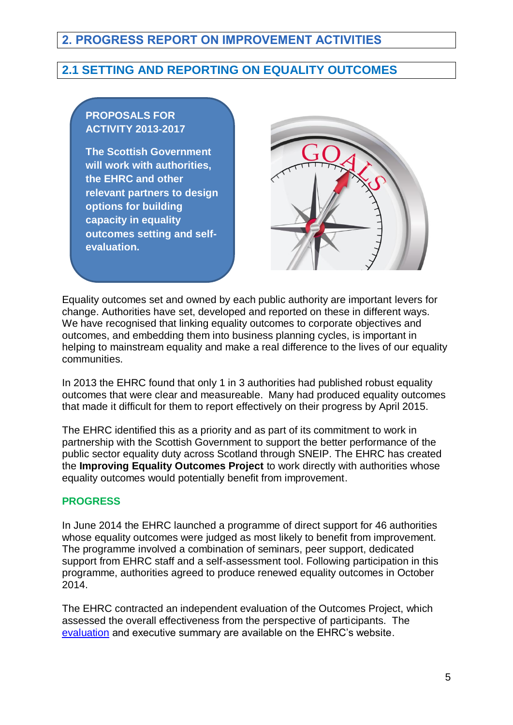#### <span id="page-6-1"></span>**2. PROGRESS REPORT ON IMPROVEMENT ACTIVITIES**

#### <span id="page-6-0"></span>**2.1 SETTING AND REPORTING ON EQUALITY OUTCOMES**

#### **PROPOSALS FOR ACTIVITY 2013-2017**

**The Scottish Government will work with authorities, the EHRC and other relevant partners to design options for building capacity in equality outcomes setting and selfevaluation.**



Equality outcomes set and owned by each public authority are important levers for change. Authorities have set, developed and reported on these in different ways. We have recognised that linking equality outcomes to corporate objectives and outcomes, and embedding them into business planning cycles, is important in helping to mainstream equality and make a real difference to the lives of our equality communities.

In 2013 the EHRC found that only 1 in 3 authorities had published robust equality outcomes that were clear and measureable. Many had produced equality outcomes that made it difficult for them to report effectively on their progress by April 2015.

The EHRC identified this as a priority and as part of its commitment to work in partnership with the Scottish Government to support the better performance of the public sector equality duty across Scotland through SNEIP. The EHRC has created the **Improving Equality Outcomes Project** to work directly with authorities whose equality outcomes would potentially benefit from improvement.

#### **PROGRESS**

In June 2014 the EHRC launched a programme of direct support for 46 authorities whose equality outcomes were judged as most likely to benefit from improvement. The programme involved a combination of seminars, peer support, dedicated support from EHRC staff and a self-assessment tool. Following participation in this programme, authorities agreed to produce renewed equality outcomes in October 2014.

The EHRC contracted an independent evaluation of the Outcomes Project, which assessed the overall effectiveness from the perspective of participants. The [evaluation](http://www.equalityhumanrights.com/publication/evaluation-improving-equality-outcomes-project) and executive summary are available on the EHRC's website.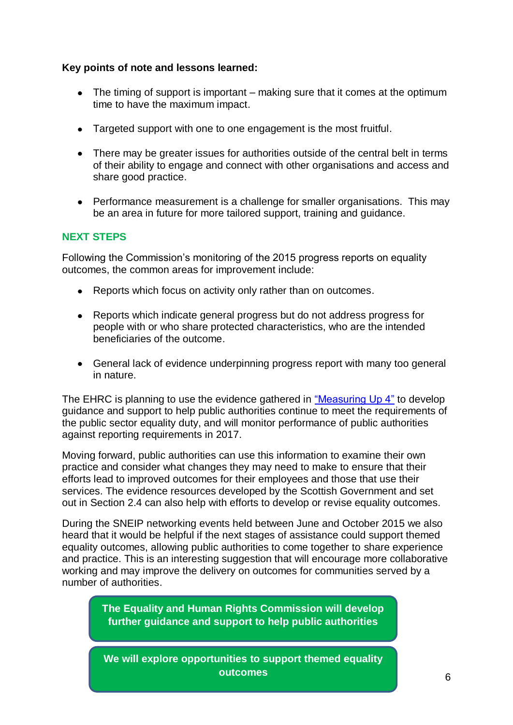#### **Key points of note and lessons learned:**

- $\bullet$  The timing of support is important making sure that it comes at the optimum time to have the maximum impact.
- Targeted support with one to one engagement is the most fruitful.
- There may be greater issues for authorities outside of the central belt in terms of their ability to engage and connect with other organisations and access and share good practice.
- Performance measurement is a challenge for smaller organisations. This may be an area in future for more tailored support, training and guidance.

#### **NEXT STEPS**

Following the Commission's monitoring of the 2015 progress reports on equality outcomes, the common areas for improvement include:

- Reports which focus on activity only rather than on outcomes.
- $\bullet$ Reports which indicate general progress but do not address progress for people with or who share protected characteristics, who are the intended beneficiaries of the outcome.
- General lack of evidence underpinning progress report with many too general in nature.

The EHRC is planning to use the evidence gathered in ["Measuring Up 4"](http://www.equalityhumanrights.com/publication/measuring-report-4-performance-report-public-authorities-performance-meeting-scottish-specific) to develop guidance and support to help public authorities continue to meet the requirements of the public sector equality duty, and will monitor performance of public authorities against reporting requirements in 2017.

Moving forward, public authorities can use this information to examine their own practice and consider what changes they may need to make to ensure that their efforts lead to improved outcomes for their employees and those that use their services. The evidence resources developed by the Scottish Government and set out in Section 2.4 can also help with efforts to develop or revise equality outcomes.

During the SNEIP networking events held between June and October 2015 we also heard that it would be helpful if the next stages of assistance could support themed equality outcomes, allowing public authorities to come together to share experience and practice. This is an interesting suggestion that will encourage more collaborative working and may improve the delivery on outcomes for communities served by a number of authorities.

> **The Equality and Human Rights Commission will develop further guidance and support to help public authorities**

> **We will explore opportunities to support themed equality outcomes**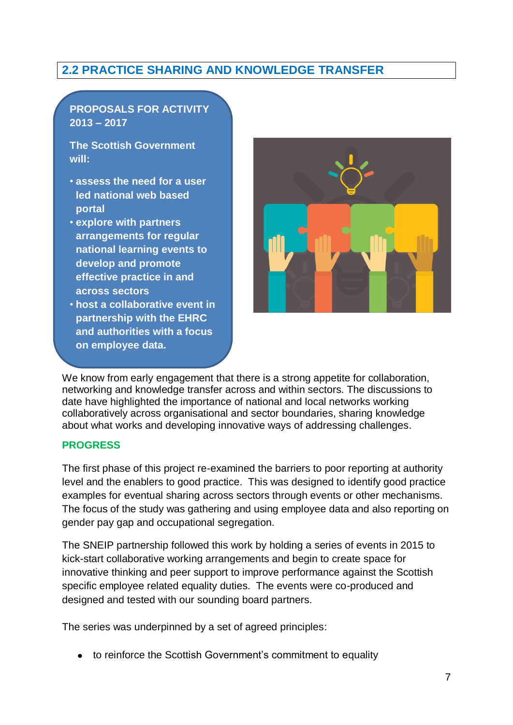#### <span id="page-8-0"></span>**2.2 PRACTICE SHARING AND KNOWLEDGE TRANSFER**

#### **PROPOSALS FOR ACTIVITY 2013 – 2017**

**The Scottish Government will:**

- **assess the need for a user led national web based portal**
- **explore with partners arrangements for regular national learning events to develop and promote effective practice in and across sectors**
- **host a collaborative event in partnership with the EHRC and authorities with a focus on employee data.**



We know from early engagement that there is a strong appetite for collaboration, networking and knowledge transfer across and within sectors. The discussions to date have highlighted the importance of national and local networks working collaboratively across organisational and sector boundaries, sharing knowledge about what works and developing innovative ways of addressing challenges.

#### **PROGRESS**

The first phase of this project re-examined the barriers to poor reporting at authority level and the enablers to good practice. This was designed to identify good practice examples for eventual sharing across sectors through events or other mechanisms. The focus of the study was gathering and using employee data and also reporting on gender pay gap and occupational segregation.

The SNEIP partnership followed this work by holding a series of events in 2015 to kick-start collaborative working arrangements and begin to create space for innovative thinking and peer support to improve performance against the Scottish specific employee related equality duties. The events were co-produced and designed and tested with our sounding board partners.

The series was underpinned by a set of agreed principles:

to reinforce the Scottish Government's commitment to equality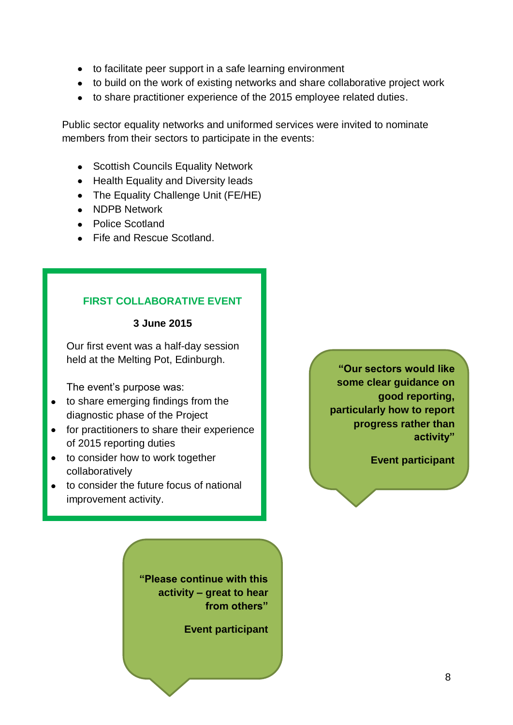- to facilitate peer support in a safe learning environment
- to build on the work of existing networks and share collaborative project work
- to share practitioner experience of the 2015 employee related duties.

Public sector equality networks and uniformed services were invited to nominate members from their sectors to participate in the events:

- Scottish Councils Equality Network
- Health Equality and Diversity leads
- The Equality Challenge Unit (FE/HE)
- NDPB Network
- Police Scotland
- Fife and Rescue Scotland.

#### **FIRST COLLABORATIVE EVENT**

#### **3 June 2015**

Our first event was a half-day session held at the Melting Pot, Edinburgh.

The event's purpose was:

- to share emerging findings from the diagnostic phase of the Project
- for practitioners to share their experience of 2015 reporting duties
- to consider how to work together collaboratively
- to consider the future focus of national improvement activity.

**"Please continue with this activity – great to hear from others"**

**Event participant**

**"Our sectors would like some clear guidance on good reporting, particularly how to report progress rather than activity"**

**Event participant**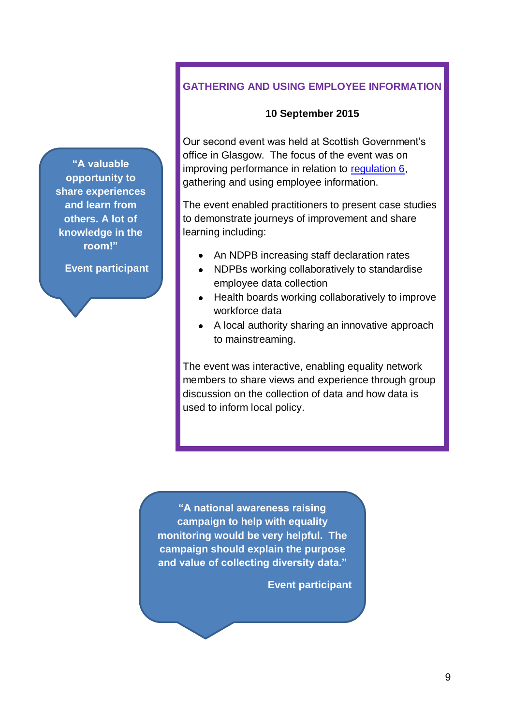**"A valuable opportunity to share experiences and learn from others. A lot of knowledge in the room!"**

**Event participant**

#### **GATHERING AND USING EMPLOYEE INFORMATION**

#### **10 September 2015**

Our second event was held at Scottish Government's office in Glasgow. The focus of the event was on improving performance in relation to [regulation 6,](http://www.legislation.gov.uk/ssi/2012/162/regulation/6/made) gathering and using employee information.

The event enabled practitioners to present case studies to demonstrate journeys of improvement and share learning including:

- An NDPB increasing staff declaration rates
- NDPBs working collaboratively to standardise employee data collection
- Health boards working collaboratively to improve workforce data
- A local authority sharing an innovative approach to mainstreaming.

The event was interactive, enabling equality network members to share views and experience through group discussion on the collection of data and how data is used to inform local policy.

**"A national awareness raising campaign to help with equality monitoring would be very helpful. The campaign should explain the purpose and value of collecting diversity data."**

**Event participant**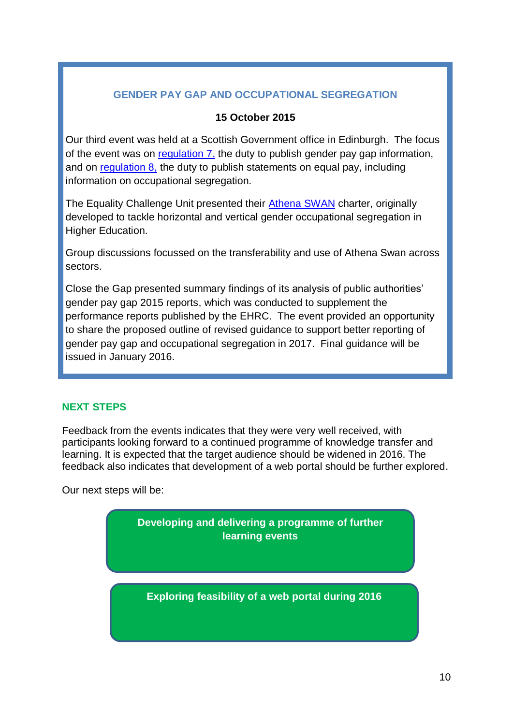#### **GENDER PAY GAP AND OCCUPATIONAL SEGREGATION**

#### **15 October 2015**

Our third event was held at a Scottish Government office in Edinburgh. The focus of the event was on [regulation 7,](http://www.legislation.gov.uk/ssi/2012/162/regulation/7/made) the duty to publish gender pay gap information, and on [regulation 8,](http://www.legislation.gov.uk/ssi/2012/162/regulation/8/made) the duty to publish statements on equal pay, including information on occupational segregation.

The Equality Challenge Unit presented their [Athena SWAN](http://www.ecu.ac.uk/equality-charters/athena-swan/) charter, originally developed to tackle horizontal and vertical gender occupational segregation in Higher Education.

Group discussions focussed on the transferability and use of Athena Swan across sectors.

Close the Gap presented summary findings of its analysis of public authorities' gender pay gap 2015 reports, which was conducted to supplement the performance reports published by the EHRC. The event provided an opportunity to share the proposed outline of revised guidance to support better reporting of gender pay gap and occupational segregation in 2017. Final guidance will be issued in January 2016.

#### **NEXT STEPS**

Feedback from the events indicates that they were very well received, with participants looking forward to a continued programme of knowledge transfer and learning. It is expected that the target audience should be widened in 2016. The feedback also indicates that development of a web portal should be further explored.

Our next steps will be:

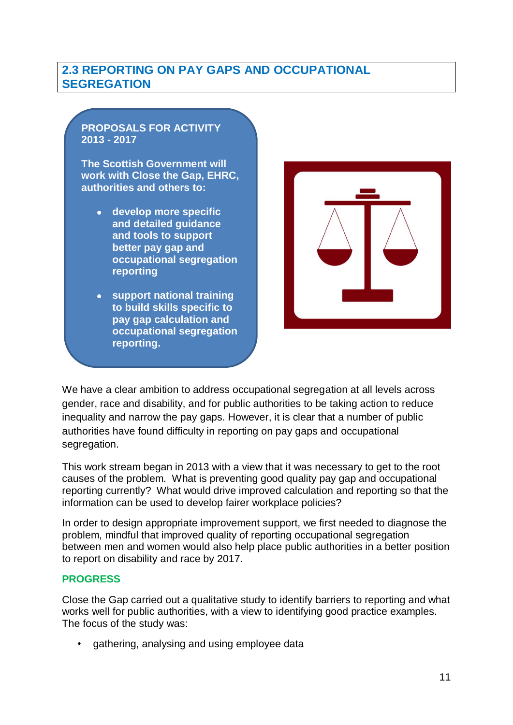#### <span id="page-12-0"></span>**2.3 REPORTING ON PAY GAPS AND OCCUPATIONAL SEGREGATION**

#### **PROPOSALS FOR ACTIVITY 2013 - 2017**

**The Scottish Government will work with Close the Gap, EHRC, authorities and others to:**

- **develop more specific and detailed guidance and tools to support better pay gap and occupational segregation reporting**
- **support national training to build skills specific to pay gap calculation and occupational segregation reporting.**



We have a clear ambition to address occupational segregation at all levels across gender, race and disability, and for public authorities to be taking action to reduce inequality and narrow the pay gaps. However, it is clear that a number of public authorities have found difficulty in reporting on pay gaps and occupational segregation.

This work stream began in 2013 with a view that it was necessary to get to the root causes of the problem. What is preventing good quality pay gap and occupational reporting currently? What would drive improved calculation and reporting so that the information can be used to develop fairer workplace policies?

In order to design appropriate improvement support, we first needed to diagnose the problem, mindful that improved quality of reporting occupational segregation between men and women would also help place public authorities in a better position to report on disability and race by 2017.

#### **PROGRESS**

Close the Gap carried out a qualitative study to identify barriers to reporting and what works well for public authorities, with a view to identifying good practice examples. The focus of the study was:

• gathering, analysing and using employee data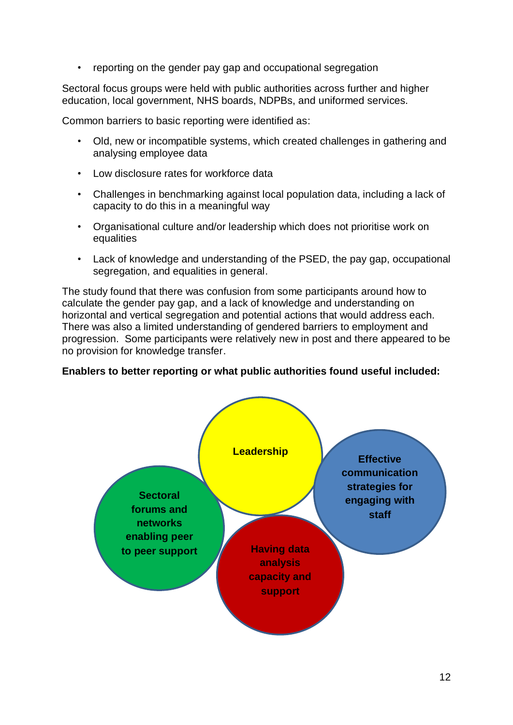• reporting on the gender pay gap and occupational segregation

Sectoral focus groups were held with public authorities across further and higher education, local government, NHS boards, NDPBs, and uniformed services.

Common barriers to basic reporting were identified as:

- Old, new or incompatible systems, which created challenges in gathering and analysing employee data
- Low disclosure rates for workforce data
- Challenges in benchmarking against local population data, including a lack of capacity to do this in a meaningful way
- Organisational culture and/or leadership which does not prioritise work on equalities
- Lack of knowledge and understanding of the PSED, the pay gap, occupational segregation, and equalities in general.

The study found that there was confusion from some participants around how to calculate the gender pay gap, and a lack of knowledge and understanding on horizontal and vertical segregation and potential actions that would address each. There was also a limited understanding of gendered barriers to employment and progression. Some participants were relatively new in post and there appeared to be no provision for knowledge transfer.

#### **Enablers to better reporting or what public authorities found useful included:**

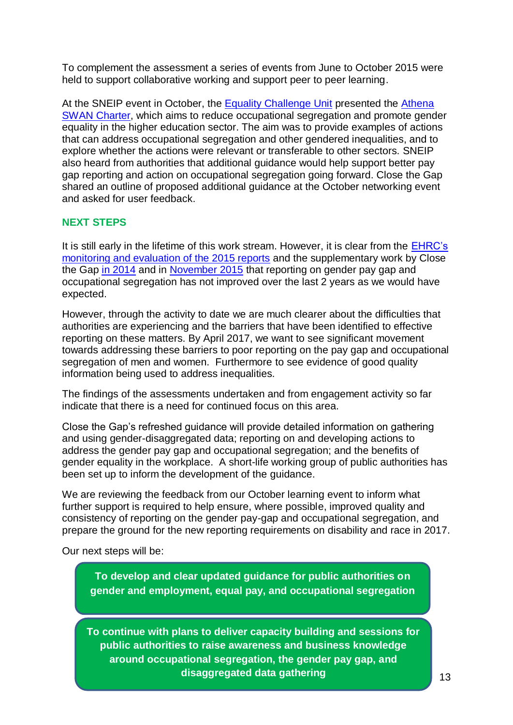To complement the assessment a series of events from June to October 2015 were held to support collaborative working and support peer to peer learning.

At the SNEIP event in October, the [Equality Challenge Unit](http://www.ecu.ac.uk/) presented the [Athena](http://www.ecu.ac.uk/equality-charters/athena-swan/)  [SWAN Charter,](http://www.ecu.ac.uk/equality-charters/athena-swan/) which aims to reduce occupational segregation and promote gender equality in the higher education sector. The aim was to provide examples of actions that can address occupational segregation and other gendered inequalities, and to explore whether the actions were relevant or transferable to other sectors. SNEIP also heard from authorities that additional guidance would help support better pay gap reporting and action on occupational segregation going forward. Close the Gap shared an outline of proposed additional guidance at the October networking event and asked for user feedback.

#### **NEXT STEPS**

It is still early in the lifetime of this work stream. However, it is clear from the [EHRC's](http://www.equalityhumanrights.com/about-us/devolved-authorities/commission-scotland/public-sector-equality-duty-scotland/public-sector-equality-duty-faqs/how-scotland-%E2%80%9Cmeasuring-%E2%80%9D-equality)  [monitoring and evaluation of the 2015 reports](http://www.equalityhumanrights.com/about-us/devolved-authorities/commission-scotland/public-sector-equality-duty-scotland/public-sector-equality-duty-faqs/how-scotland-%E2%80%9Cmeasuring-%E2%80%9D-equality) and the supplementary work by Close the Gap [in 2014](http://www.closethegap.org.uk/content/resources/1450180414_CTG-Working-Paper-12---Monitoring-Scottish-public-bodies-compliance-with-the-public-sector-equality-duty.pdf) and in [November 2015](http://www.closethegap.org.uk/content/resources/Making-Progress---An-assessment-of-employers-compliance-with-PSED-November-2015.pdf) that reporting on gender pay gap and occupational segregation has not improved over the last 2 years as we would have expected.

However, through the activity to date we are much clearer about the difficulties that authorities are experiencing and the barriers that have been identified to effective reporting on these matters. By April 2017, we want to see significant movement towards addressing these barriers to poor reporting on the pay gap and occupational segregation of men and women. Furthermore to see evidence of good quality information being used to address inequalities.

The findings of the assessments undertaken and from engagement activity so far indicate that there is a need for continued focus on this area.

Close the Gap's refreshed guidance will provide detailed information on gathering and using gender-disaggregated data; reporting on and developing actions to address the gender pay gap and occupational segregation; and the benefits of gender equality in the workplace. A short-life working group of public authorities has been set up to inform the development of the guidance.

We are reviewing the feedback from our October learning event to inform what further support is required to help ensure, where possible, improved quality and consistency of reporting on the gender pay-gap and occupational segregation, and prepare the ground for the new reporting requirements on disability and race in 2017.

Our next steps will be:

**To develop and clear updated guidance for public authorities on gender and employment, equal pay, and occupational segregation**

**To continue with plans to deliver capacity building and sessions for public authorities to raise awareness and business knowledge around occupational segregation, the gender pay gap, and disaggregated data gathering**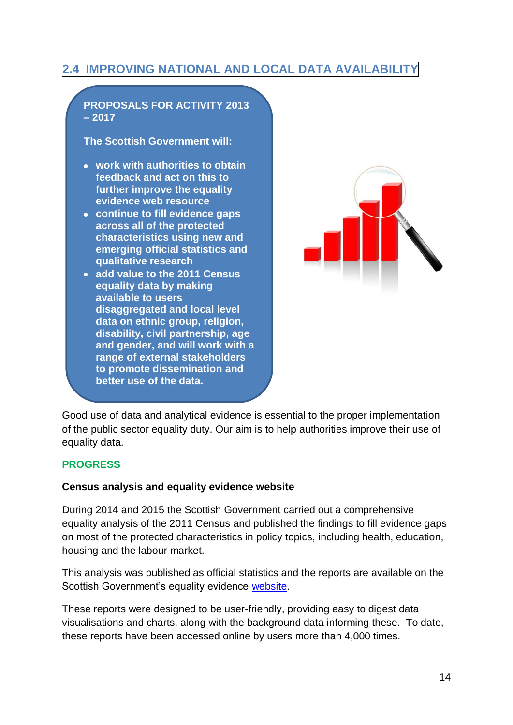#### <span id="page-15-0"></span>**2.4 IMPROVING NATIONAL AND LOCAL DATA AVAILABILITY**



Good use of data and analytical evidence is essential to the proper implementation of the public sector equality duty. Our aim is to help authorities improve their use of equality data.

#### **PROGRESS**

#### **Census analysis and equality evidence website**

**range of external stakeholders to promote dissemination and** 

**better use of the data.**

During 2014 and 2015 the Scottish Government carried out a comprehensive equality analysis of the 2011 Census and published the findings to fill evidence gaps on most of the protected characteristics in policy topics, including health, education, housing and the labour market.

This analysis was published as official statistics and the reports are available on the Scottish Government's equality evidence [website.](http://www.gov.scot/Topics/People/Equality/Equalities)

These reports were designed to be user-friendly, providing easy to digest data visualisations and charts, along with the background data informing these. To date, these reports have been accessed online by users more than 4,000 times.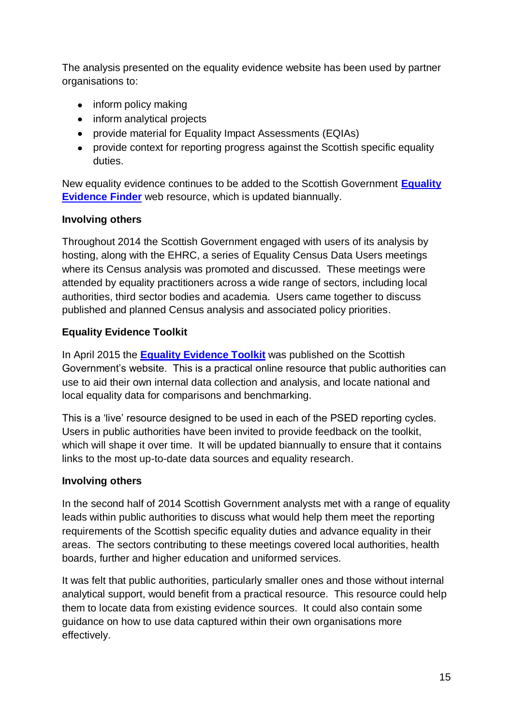The analysis presented on the equality evidence website has been used by partner organisations to:

- inform policy making
- inform analytical projects
- provide material for Equality Impact Assessments (EQIAs)
- provide context for reporting progress against the Scottish specific equality duties.

New equality evidence continues to be added to the Scottish Government **[Equality](http://www.gov.scot/Topics/People/Equality/Equalities/DataGrid)  [Evidence Finder](http://www.gov.scot/Topics/People/Equality/Equalities/DataGrid)** web resource, which is updated biannually.

#### **Involving others**

Throughout 2014 the Scottish Government engaged with users of its analysis by hosting, along with the EHRC, a series of Equality Census Data Users meetings where its Census analysis was promoted and discussed. These meetings were attended by equality practitioners across a wide range of sectors, including local authorities, third sector bodies and academia. Users came together to discuss published and planned Census analysis and associated policy priorities.

#### **Equality Evidence Toolkit**

In April 2015 the **[Equality Evidence Toolkit](http://www.gov.scot/Publications/2015/03/6567/0)** was published on the Scottish Government's website. This is a practical online resource that public authorities can use to aid their own internal data collection and analysis, and locate national and local equality data for comparisons and benchmarking.

This is a 'live' resource designed to be used in each of the PSED reporting cycles. Users in public authorities have been invited to provide feedback on the toolkit, which will shape it over time. It will be updated biannually to ensure that it contains links to the most up-to-date data sources and equality research.

#### **Involving others**

In the second half of 2014 Scottish Government analysts met with a range of equality leads within public authorities to discuss what would help them meet the reporting requirements of the Scottish specific equality duties and advance equality in their areas. The sectors contributing to these meetings covered local authorities, health boards, further and higher education and uniformed services.

It was felt that public authorities, particularly smaller ones and those without internal analytical support, would benefit from a practical resource. This resource could help them to locate data from existing evidence sources. It could also contain some guidance on how to use data captured within their own organisations more effectively.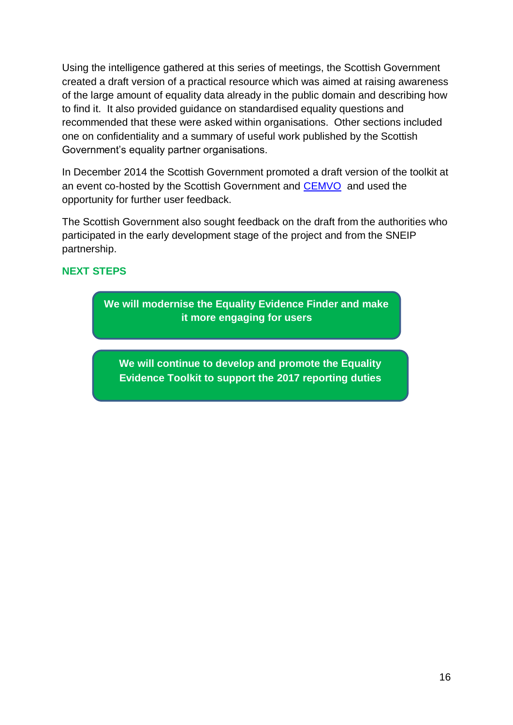Using the intelligence gathered at this series of meetings, the Scottish Government created a draft version of a practical resource which was aimed at raising awareness of the large amount of equality data already in the public domain and describing how to find it. It also provided guidance on standardised equality questions and recommended that these were asked within organisations. Other sections included one on confidentiality and a summary of useful work published by the Scottish Government's equality partner organisations.

In December 2014 the Scottish Government promoted a draft version of the toolkit at an event co-hosted by the Scottish Government and [CEMVO](http://www.cemvoscotland.org.uk/index.php/2-features/115-using-census-data-on-race) and used the opportunity for further user feedback.

The Scottish Government also sought feedback on the draft from the authorities who participated in the early development stage of the project and from the SNEIP partnership.

#### **NEXT STEPS**

**We will modernise the Equality Evidence Finder and make it more engaging for users**

**We will continue to develop and promote the Equality Evidence Toolkit to support the 2017 reporting duties**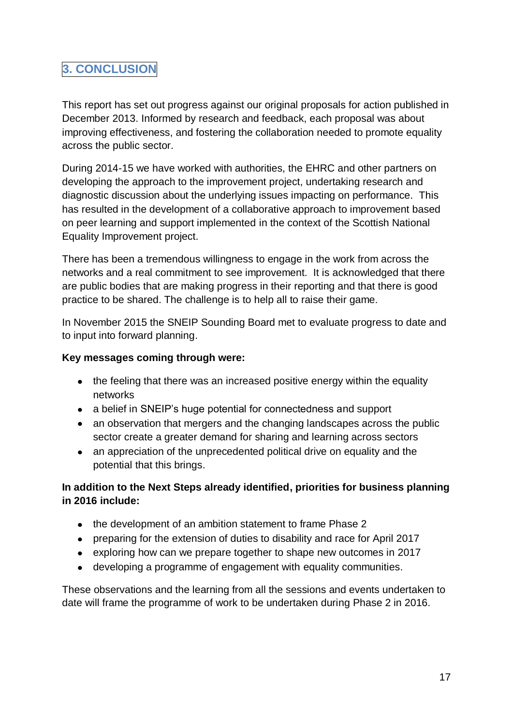#### <span id="page-18-0"></span>**3. CONCLUSION**

This report has set out progress against our original proposals for action published in December 2013. Informed by research and feedback, each proposal was about improving effectiveness, and fostering the collaboration needed to promote equality across the public sector.

During 2014-15 we have worked with authorities, the EHRC and other partners on developing the approach to the improvement project, undertaking research and diagnostic discussion about the underlying issues impacting on performance. This has resulted in the development of a collaborative approach to improvement based on peer learning and support implemented in the context of the Scottish National Equality Improvement project.

There has been a tremendous willingness to engage in the work from across the networks and a real commitment to see improvement. It is acknowledged that there are public bodies that are making progress in their reporting and that there is good practice to be shared. The challenge is to help all to raise their game.

In November 2015 the SNEIP Sounding Board met to evaluate progress to date and to input into forward planning.

#### **Key messages coming through were:**

- the feeling that there was an increased positive energy within the equality networks
- a belief in SNEIP's huge potential for connectedness and support
- an observation that mergers and the changing landscapes across the public sector create a greater demand for sharing and learning across sectors
- an appreciation of the unprecedented political drive on equality and the potential that this brings.

#### **In addition to the Next Steps already identified, priorities for business planning in 2016 include:**

- the development of an ambition statement to frame Phase 2
- preparing for the extension of duties to disability and race for April 2017
- exploring how can we prepare together to shape new outcomes in 2017
- developing a programme of engagement with equality communities.

These observations and the learning from all the sessions and events undertaken to date will frame the programme of work to be undertaken during Phase 2 in 2016.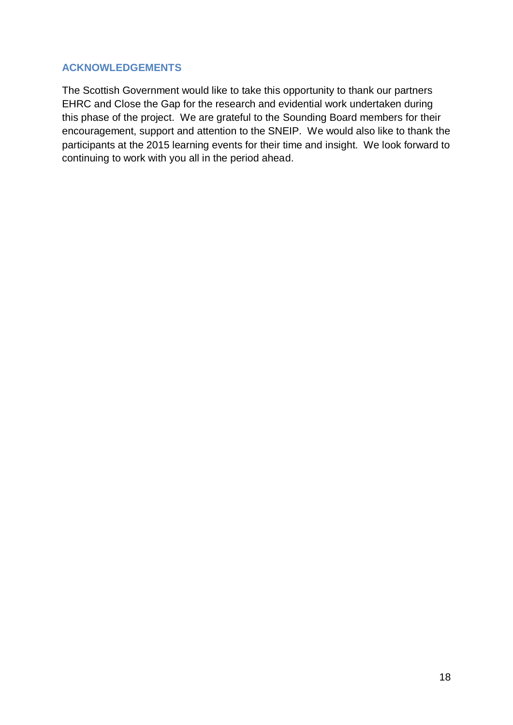#### **ACKNOWLEDGEMENTS**

The Scottish Government would like to take this opportunity to thank our partners EHRC and Close the Gap for the research and evidential work undertaken during this phase of the project. We are grateful to the Sounding Board members for their encouragement, support and attention to the SNEIP. We would also like to thank the participants at the 2015 learning events for their time and insight. We look forward to continuing to work with you all in the period ahead.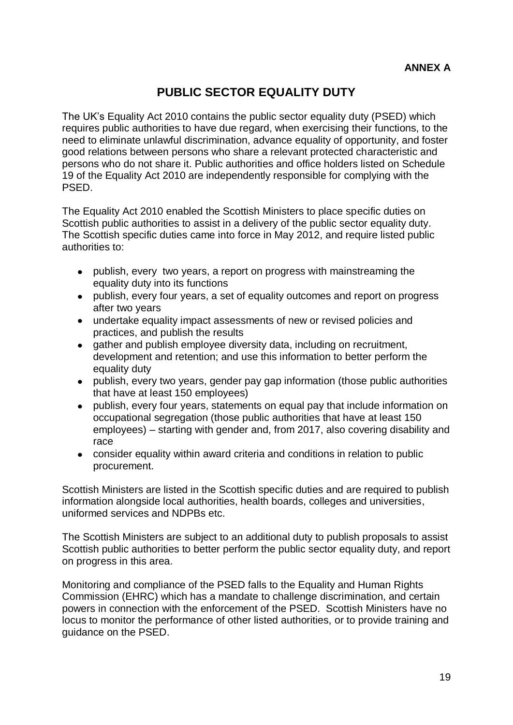#### **PUBLIC SECTOR EQUALITY DUTY**

<span id="page-20-0"></span>The UK's Equality Act 2010 contains the public sector equality duty (PSED) which requires public authorities to have due regard, when exercising their functions, to the need to eliminate unlawful discrimination, advance equality of opportunity, and foster good relations between persons who share a relevant protected characteristic and persons who do not share it. Public authorities and office holders listed on Schedule 19 of the Equality Act 2010 are independently responsible for complying with the PSED.

The Equality Act 2010 enabled the Scottish Ministers to place specific duties on Scottish public authorities to assist in a delivery of the public sector equality duty. The Scottish specific duties came into force in May 2012, and require listed public authorities to:

- publish, every two years, a report on progress with mainstreaming the equality duty into its functions
- publish, every four years, a set of equality outcomes and report on progress after two years
- undertake equality impact assessments of new or revised policies and practices, and publish the results
- gather and publish employee diversity data, including on recruitment,  $\bullet$ development and retention; and use this information to better perform the equality duty
- publish, every two years, gender pay gap information (those public authorities that have at least 150 employees)
- publish, every four years, statements on equal pay that include information on  $\bullet$ occupational segregation (those public authorities that have at least 150 employees) – starting with gender and, from 2017, also covering disability and race
- consider equality within award criteria and conditions in relation to public procurement.

Scottish Ministers are listed in the Scottish specific duties and are required to publish information alongside local authorities, health boards, colleges and universities, uniformed services and NDPBs etc.

The Scottish Ministers are subject to an additional duty to publish proposals to assist Scottish public authorities to better perform the public sector equality duty, and report on progress in this area.

Monitoring and compliance of the PSED falls to the Equality and Human Rights Commission (EHRC) which has a mandate to challenge discrimination, and certain powers in connection with the enforcement of the PSED. Scottish Ministers have no locus to monitor the performance of other listed authorities, or to provide training and guidance on the PSED.